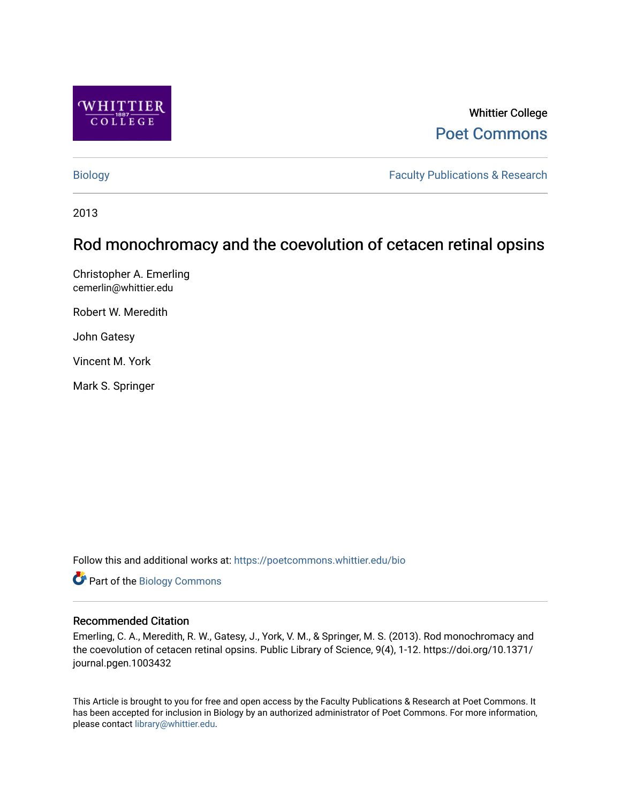

# Whittier College [Poet Commons](https://poetcommons.whittier.edu/)

[Biology](https://poetcommons.whittier.edu/bio) **Faculty Publications & Research** 

2013

# Rod monochromacy and the coevolution of cetacen retinal opsins

Christopher A. Emerling cemerlin@whittier.edu

Robert W. Meredith

John Gatesy

Vincent M. York

Mark S. Springer

Follow this and additional works at: [https://poetcommons.whittier.edu/bio](https://poetcommons.whittier.edu/bio?utm_source=poetcommons.whittier.edu%2Fbio%2F18&utm_medium=PDF&utm_campaign=PDFCoverPages)

Part of the [Biology Commons](http://network.bepress.com/hgg/discipline/41?utm_source=poetcommons.whittier.edu%2Fbio%2F18&utm_medium=PDF&utm_campaign=PDFCoverPages) 

# Recommended Citation

Emerling, C. A., Meredith, R. W., Gatesy, J., York, V. M., & Springer, M. S. (2013). Rod monochromacy and the coevolution of cetacen retinal opsins. Public Library of Science, 9(4), 1-12. https://doi.org/10.1371/ journal.pgen.1003432

This Article is brought to you for free and open access by the Faculty Publications & Research at Poet Commons. It has been accepted for inclusion in Biology by an authorized administrator of Poet Commons. For more information, please contact [library@whittier.edu](mailto:library@whittier.edu).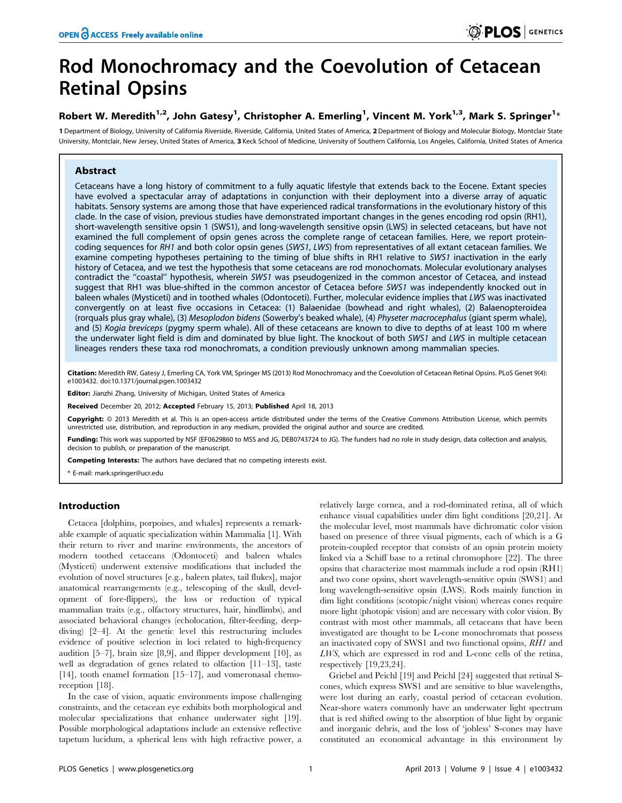# Rod Monochromacy and the Coevolution of Cetacean Retinal Opsins

## Robert W. Meredith<sup>1,2</sup>, John Gatesy<sup>1</sup>, Christopher A. Emerling<sup>1</sup>, Vincent M. York<sup>1,3</sup>, Mark S. Springer<sup>1</sup>\*

1 Department of Biology, University of California Riverside, Riverside, California, United States of America, 2 Department of Biology and Molecular Biology, Montclair State University, Montclair, New Jersey, United States of America, 3 Keck School of Medicine, University of Southern California, Los Angeles, California, United States of America

### Abstract

Cetaceans have a long history of commitment to a fully aquatic lifestyle that extends back to the Eocene. Extant species have evolved a spectacular array of adaptations in conjunction with their deployment into a diverse array of aquatic habitats. Sensory systems are among those that have experienced radical transformations in the evolutionary history of this clade. In the case of vision, previous studies have demonstrated important changes in the genes encoding rod opsin (RH1), short-wavelength sensitive opsin 1 (SWS1), and long-wavelength sensitive opsin (LWS) in selected cetaceans, but have not examined the full complement of opsin genes across the complete range of cetacean families. Here, we report proteincoding sequences for RH1 and both color opsin genes (SWS1, LWS) from representatives of all extant cetacean families. We examine competing hypotheses pertaining to the timing of blue shifts in RH1 relative to SWS1 inactivation in the early history of Cetacea, and we test the hypothesis that some cetaceans are rod monochomats. Molecular evolutionary analyses contradict the ''coastal'' hypothesis, wherein SWS1 was pseudogenized in the common ancestor of Cetacea, and instead suggest that RH1 was blue-shifted in the common ancestor of Cetacea before SWS1 was independently knocked out in baleen whales (Mysticeti) and in toothed whales (Odontoceti). Further, molecular evidence implies that LWS was inactivated convergently on at least five occasions in Cetacea: (1) Balaenidae (bowhead and right whales), (2) Balaenopteroidea (rorquals plus gray whale), (3) Mesoplodon bidens (Sowerby's beaked whale), (4) Physeter macrocephalus (giant sperm whale), and (5) Kogia breviceps (pygmy sperm whale). All of these cetaceans are known to dive to depths of at least 100 m where the underwater light field is dim and dominated by blue light. The knockout of both SWS1 and LWS in multiple cetacean lineages renders these taxa rod monochromats, a condition previously unknown among mammalian species.

Citation: Meredith RW, Gatesy J, Emerling CA, York VM, Springer MS (2013) Rod Monochromacy and the Coevolution of Cetacean Retinal Opsins. PLoS Genet 9(4): e1003432. doi:10.1371/journal.pgen.1003432

Editor: Jianzhi Zhang, University of Michigan, United States of America

Received December 20, 2012; Accepted February 15, 2013; Published April 18, 2013

Copyright: © 2013 Meredith et al. This is an open-access article distributed under the terms of the Creative Commons Attribution License, which permits unrestricted use, distribution, and reproduction in any medium, provided the original author and source are credited.

Funding: This work was supported by NSF (EF0629860 to MSS and JG, DEB0743724 to JG). The funders had no role in study design, data collection and analysis, decision to publish, or preparation of the manuscript.

Competing Interests: The authors have declared that no competing interests exist.

### Introduction

Cetacea [dolphins, porpoises, and whales] represents a remarkable example of aquatic specialization within Mammalia [1]. With their return to river and marine environments, the ancestors of modern toothed cetaceans (Odontoceti) and baleen whales (Mysticeti) underwent extensive modifications that included the evolution of novel structures [e.g., baleen plates, tail flukes], major anatomical rearrangements (e.g., telescoping of the skull, development of fore-flippers), the loss or reduction of typical mammalian traits (e.g., olfactory structures, hair, hindlimbs), and associated behavioral changes (echolocation, filter-feeding, deepdiving) [2–4]. At the genetic level this restructuring includes evidence of positive selection in loci related to high-frequency audition [5–7], brain size [8,9], and flipper development [10], as well as degradation of genes related to olfaction [11–13], taste [14], tooth enamel formation [15–17], and vomeronasal chemoreception [18].

In the case of vision, aquatic environments impose challenging constraints, and the cetacean eye exhibits both morphological and molecular specializations that enhance underwater sight [19]. Possible morphological adaptations include an extensive reflective tapetum lucidum, a spherical lens with high refractive power, a relatively large cornea, and a rod-dominated retina, all of which enhance visual capabilities under dim light conditions [20,21]. At the molecular level, most mammals have dichromatic color vision based on presence of three visual pigments, each of which is a G protein-coupled receptor that consists of an opsin protein moiety linked via a Schiff base to a retinal chromophore [22]. The three opsins that characterize most mammals include a rod opsin (RH1) and two cone opsins, short wavelength-sensitive opsin (SWS1) and long wavelength-sensitive opsin (LWS). Rods mainly function in dim light conditions (scotopic/night vision) whereas cones require more light (photopic vision) and are necessary with color vision. By contrast with most other mammals, all cetaceans that have been investigated are thought to be L-cone monochromats that possess an inactivated copy of SWS1 and two functional opsins, RH1 and LWS, which are expressed in rod and L-cone cells of the retina, respectively [19,23,24].

Griebel and Peichl [19] and Peichl [24] suggested that retinal Scones, which express SWS1 and are sensitive to blue wavelengths, were lost during an early, coastal period of cetacean evolution. Near-shore waters commonly have an underwater light spectrum that is red shifted owing to the absorption of blue light by organic and inorganic debris, and the loss of 'jobless' S-cones may have constituted an economical advantage in this environment by

<sup>\*</sup> E-mail: mark.springer@ucr.edu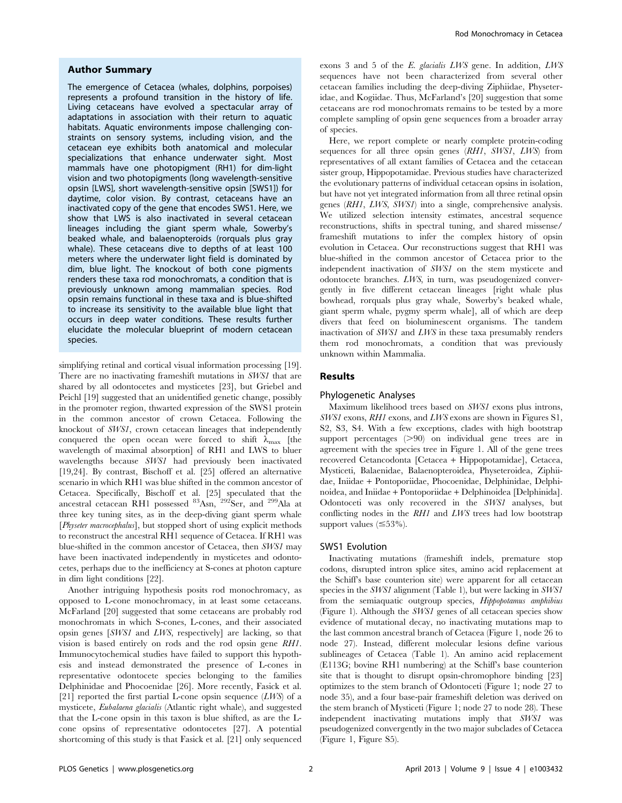#### Author Summary

The emergence of Cetacea (whales, dolphins, porpoises) represents a profound transition in the history of life. Living cetaceans have evolved a spectacular array of adaptations in association with their return to aquatic habitats. Aquatic environments impose challenging constraints on sensory systems, including vision, and the cetacean eye exhibits both anatomical and molecular specializations that enhance underwater sight. Most mammals have one photopigment (RH1) for dim-light vision and two photopigments (long wavelength-sensitive opsin [LWS], short wavelength-sensitive opsin [SWS1]) for daytime, color vision. By contrast, cetaceans have an inactivated copy of the gene that encodes SWS1. Here, we show that LWS is also inactivated in several cetacean lineages including the giant sperm whale, Sowerby's beaked whale, and balaenopteroids (rorquals plus gray whale). These cetaceans dive to depths of at least 100 meters where the underwater light field is dominated by dim, blue light. The knockout of both cone pigments renders these taxa rod monochromats, a condition that is previously unknown among mammalian species. Rod opsin remains functional in these taxa and is blue-shifted to increase its sensitivity to the available blue light that occurs in deep water conditions. These results further elucidate the molecular blueprint of modern cetacean species.

simplifying retinal and cortical visual information processing [19]. There are no inactivating frameshift mutations in SWS1 that are shared by all odontocetes and mysticetes [23], but Griebel and Peichl [19] suggested that an unidentified genetic change, possibly in the promoter region, thwarted expression of the SWS1 protein in the common ancestor of crown Cetacea. Following the knockout of SWS1, crown cetacean lineages that independently conquered the open ocean were forced to shift  $\lambda_{\text{max}}$  [the wavelength of maximal absorption] of RH1 and LWS to bluer wavelengths because SWS1 had previously been inactivated [19,24]. By contrast, Bischoff et al. [25] offered an alternative scenario in which RH1 was blue shifted in the common ancestor of Cetacea. Specifically, Bischoff et al. [25] speculated that the ancestral cetacean RH1 possessed <sup>83</sup>Asn, <sup>292</sup>Ser, and <sup>299</sup>Ala at three key tuning sites, as in the deep-diving giant sperm whale [Physeter macrocephalus], but stopped short of using explicit methods to reconstruct the ancestral RH1 sequence of Cetacea. If RH1 was blue-shifted in the common ancestor of Cetacea, then SWS1 may have been inactivated independently in mysticetes and odontocetes, perhaps due to the inefficiency at S-cones at photon capture in dim light conditions [22].

Another intriguing hypothesis posits rod monochromacy, as opposed to L-cone monochromacy, in at least some cetaceans. McFarland [20] suggested that some cetaceans are probably rod monochromats in which S-cones, L-cones, and their associated opsin genes [SWS1 and LWS, respectively] are lacking, so that vision is based entirely on rods and the rod opsin gene RH1. Immunocytochemical studies have failed to support this hypothesis and instead demonstrated the presence of L-cones in representative odontocete species belonging to the families Delphinidae and Phocoenidae [26]. More recently, Fasick et al. [21] reported the first partial L-cone opsin sequence  $(LWS)$  of a mysticete, Eubalaena glacialis (Atlantic right whale), and suggested that the L-cone opsin in this taxon is blue shifted, as are the Lcone opsins of representative odontocetes [27]. A potential shortcoming of this study is that Fasick et al. [21] only sequenced exons 3 and 5 of the E. glacialis LWS gene. In addition, LWS sequences have not been characterized from several other cetacean families including the deep-diving Ziphiidae, Physeteridae, and Kogiidae. Thus, McFarland's [20] suggestion that some cetaceans are rod monochromats remains to be tested by a more complete sampling of opsin gene sequences from a broader array of species.

Here, we report complete or nearly complete protein-coding sequences for all three opsin genes (RH1, SWS1, LWS) from representatives of all extant families of Cetacea and the cetacean sister group, Hippopotamidae. Previous studies have characterized the evolutionary patterns of individual cetacean opsins in isolation, but have not yet integrated information from all three retinal opsin genes (RH1, LWS, SWS1) into a single, comprehensive analysis. We utilized selection intensity estimates, ancestral sequence reconstructions, shifts in spectral tuning, and shared missense/ frameshift mutations to infer the complex history of opsin evolution in Cetacea. Our reconstructions suggest that RH1 was blue-shifted in the common ancestor of Cetacea prior to the independent inactivation of SWS1 on the stem mysticete and odontocete branches. LWS, in turn, was pseudogenized convergently in five different cetacean lineages [right whale plus bowhead, rorquals plus gray whale, Sowerby's beaked whale, giant sperm whale, pygmy sperm whale], all of which are deep divers that feed on bioluminescent organisms. The tandem inactivation of SWS1 and LWS in these taxa presumably renders them rod monochromats, a condition that was previously unknown within Mammalia.

#### Results

#### Phylogenetic Analyses

Maximum likelihood trees based on SWS1 exons plus introns, SWS1 exons, RH1 exons, and LWS exons are shown in Figures S1, S2, S3, S4. With a few exceptions, clades with high bootstrap support percentages  $(>90)$  on individual gene trees are in agreement with the species tree in Figure 1. All of the gene trees recovered Cetancodonta [Cetacea + Hippopotamidae], Cetacea, Mysticeti, Balaenidae, Balaenopteroidea, Physeteroidea, Ziphiidae, Iniidae + Pontoporiidae, Phocoenidae, Delphinidae, Delphinoidea, and Iniidae + Pontoporiidae + Delphinoidea [Delphinida]. Odontoceti was only recovered in the SWS1 analyses, but conflicting nodes in the RH1 and LWS trees had low bootstrap support values  $(\leq 53\%).$ 

#### SWS1 Evolution

Inactivating mutations (frameshift indels, premature stop codons, disrupted intron splice sites, amino acid replacement at the Schiff's base counterion site) were apparent for all cetacean species in the *SWS1* alignment (Table 1), but were lacking in *SWS1* from the semiaquatic outgroup species, Hippopotamus amphibius (Figure 1). Although the SWS1 genes of all cetacean species show evidence of mutational decay, no inactivating mutations map to the last common ancestral branch of Cetacea (Figure 1, node 26 to node 27). Instead, different molecular lesions define various sublineages of Cetacea (Table 1). An amino acid replacement (E113G; bovine RH1 numbering) at the Schiff's base counterion site that is thought to disrupt opsin-chromophore binding [23] optimizes to the stem branch of Odontoceti (Figure 1; node 27 to node 35), and a four base-pair frameshift deletion was derived on the stem branch of Mysticeti (Figure 1; node 27 to node 28). These independent inactivating mutations imply that SWS1 was pseudogenized convergently in the two major subclades of Cetacea (Figure 1, Figure S5).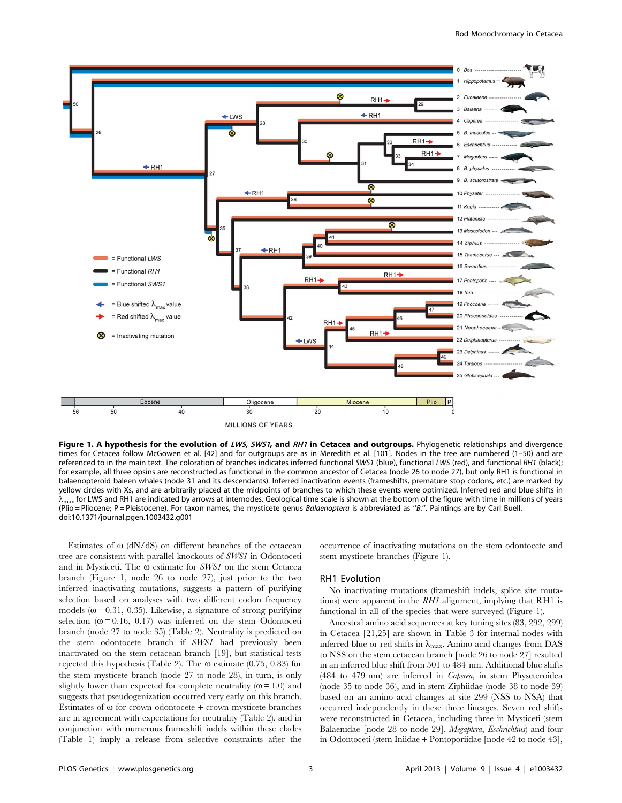

Figure 1. A hypothesis for the evolution of LWS, SWS1, and RH1 in Cetacea and outgroups. Phylogenetic relationships and divergence times for Cetacea follow McGowen et al. [42] and for outgroups are as in Meredith et al. [101]. Nodes in the tree are numbered (1–50) and are referenced to in the main text. The coloration of branches indicates inferred functional SWS1 (blue), functional LWS (red), and functional RH1 (black); for example, all three opsins are reconstructed as functional in the common ancestor of Cetacea (node 26 to node 27), but only RH1 is functional in balaenopteroid baleen whales (node 31 and its descendants). Inferred inactivation events (frameshifts, premature stop codons, etc.) are marked by yellow circles with Xs, and are arbitrarily placed at the midpoints of branches to which these events were optimized. Inferred red and blue shifts in  $\lambda_{\text{max}}$  for LWS and RH1 are indicated by arrows at internodes. Geological time scale is shown at the bottom of the figure with time in millions of years (Plio = Pliocene; P = Pleistocene). For taxon names, the mysticete genus Balaenoptera is abbreviated as "B.". Paintings are by Carl Buell. doi:10.1371/journal.pgen.1003432.g001

Estimates of  $\omega$  (dN/dS) on different branches of the cetacean tree are consistent with parallel knockouts of SWS1 in Odontoceti and in Mysticeti. The  $\omega$  estimate for *SWS1* on the stem Cetacea branch (Figure 1, node 26 to node 27), just prior to the two inferred inactivating mutations, suggests a pattern of purifying selection based on analyses with two different codon frequency models ( $\omega$  = 0.31, 0.35). Likewise, a signature of strong purifying selection ( $\omega$  = 0.16, 0.17) was inferred on the stem Odontoceti branch (node 27 to node 35) (Table 2). Neutrality is predicted on the stem odontocete branch if SWS1 had previously been inactivated on the stem cetacean branch [19], but statistical tests rejected this hypothesis (Table 2). The  $\omega$  estimate (0.75, 0.83) for the stem mysticete branch (node 27 to node 28), in turn, is only slightly lower than expected for complete neutrality ( $\omega$  = 1.0) and suggests that pseudogenization occurred very early on this branch. Estimates of  $\omega$  for crown odontocete + crown mysticete branches are in agreement with expectations for neutrality (Table 2), and in conjunction with numerous frameshift indels within these clades (Table 1) imply a release from selective constraints after the

occurrence of inactivating mutations on the stem odontocete and stem mysticete branches (Figure 1).

#### RH1 Evolution

No inactivating mutations (frameshift indels, splice site mutations) were apparent in the RH1 alignment, implying that RH1 is functional in all of the species that were surveyed (Figure 1).

Ancestral amino acid sequences at key tuning sites (83, 292, 299) in Cetacea [21,25] are shown in Table 3 for internal nodes with inferred blue or red shifts in  $\lambda_{\text{max}}$ . Amino acid changes from DAS to NSS on the stem cetacean branch [node 26 to node 27] resulted in an inferred blue shift from 501 to 484 nm. Additional blue shifts (484 to 479 nm) are inferred in Caperea, in stem Physeteroidea (node 35 to node 36), and in stem Ziphiidae (node 38 to node 39) based on an amino acid changes at site 299 (NSS to NSA) that occurred independently in these three lineages. Seven red shifts were reconstructed in Cetacea, including three in Mysticeti (stem Balaenidae [node 28 to node 29], Megaptera, Eschrichtius) and four in Odontoceti (stem Iniidae + Pontoporiidae [node 42 to node 43],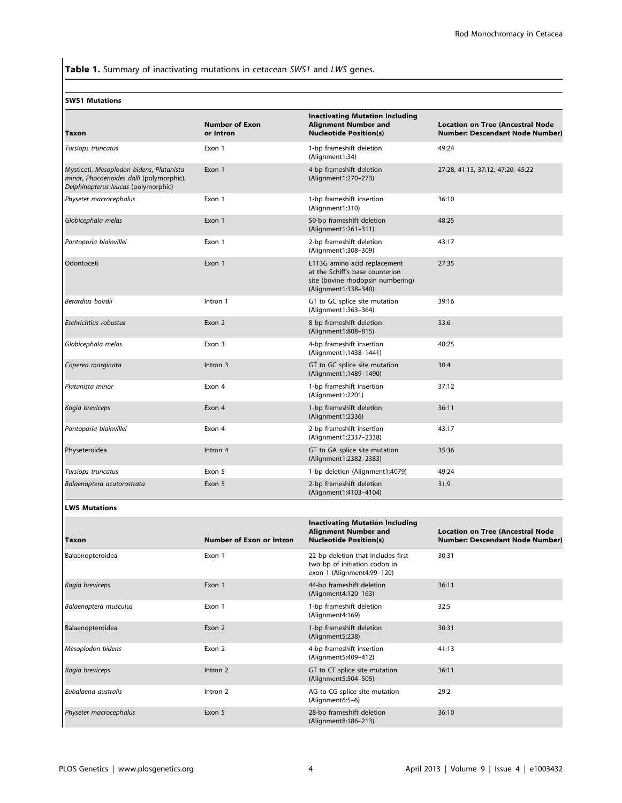Table 1. Summary of inactivating mutations in cetacean SWS1 and LWS genes.

#### SWS1 Mutations

|                                                                                                                             |                                    | <b>Inactivating Mutation Including</b>                                                                                       |                                                                                    |
|-----------------------------------------------------------------------------------------------------------------------------|------------------------------------|------------------------------------------------------------------------------------------------------------------------------|------------------------------------------------------------------------------------|
| Taxon                                                                                                                       | <b>Number of Exon</b><br>or Intron | <b>Alignment Number and</b><br><b>Nucleotide Position(s)</b>                                                                 | <b>Location on Tree (Ancestral Node)</b><br><b>Number: Descendant Node Number)</b> |
| Tursiops truncatus                                                                                                          | Exon 1                             | 1-bp frameshift deletion<br>(Alignment1:34)                                                                                  | 49:24                                                                              |
| Mysticeti, Mesoplodon bidens, Platanista<br>minor, Phocoenoides dalli (polymorphic),<br>Delphinapterus leucas (polymorphic) | Exon 1                             | 4-bp frameshift deletion<br>(Alignment1:270-273)                                                                             | 27:28, 41:13, 37:12, 47:20, 45:22                                                  |
| Physeter macrocephalus                                                                                                      | Exon 1                             | 1-bp frameshift insertion<br>(Alignment1:310)                                                                                | 36:10                                                                              |
| Globicephala melas                                                                                                          | Exon 1                             | 50-bp frameshift deletion<br>(Alignment1:261-311)                                                                            | 48:25                                                                              |
| Pontoporia blainvillei                                                                                                      | Exon 1                             | 2-bp frameshift deletion<br>(Alignment1:308-309)                                                                             | 43:17                                                                              |
| Odontoceti                                                                                                                  | Exon 1                             | E113G amino acid replacement<br>at the Schiff's base counterion<br>site (bovine rhodopsin numbering)<br>(Alignment1:338-340) | 27:35                                                                              |
| Berardius bairdii                                                                                                           | Intron 1                           | GT to GC splice site mutation<br>(Alignment1:363-364)                                                                        | 39:16                                                                              |
| Eschrichtius robustus                                                                                                       | Exon 2                             | 8-bp frameshift deletion<br>(Alignment1:808-815)                                                                             | 33:6                                                                               |
| Globicephala melas                                                                                                          | Exon 3                             | 4-bp frameshift insertion<br>(Alignment1:1438-1441)                                                                          | 48:25                                                                              |
| Caperea marginata                                                                                                           | Intron 3                           | GT to GC splice site mutation<br>(Alignment1:1489-1490)                                                                      | 30:4                                                                               |
| Platanista minor                                                                                                            | Exon 4                             | 1-bp frameshift insertion<br>(Alignment1:2201)                                                                               | 37:12                                                                              |
| Kogia breviceps                                                                                                             | Exon 4                             | 1-bp frameshift deletion<br>(Alignment1:2336)                                                                                | 36:11                                                                              |
| Pontoporia blainvillei                                                                                                      | Exon 4                             | 2-bp frameshift insertion<br>(Alignment1:2337-2338)                                                                          | 43:17                                                                              |
| Physeteroidea                                                                                                               | Intron 4                           | GT to GA splice site mutation<br>(Alignment1:2382-2383)                                                                      | 35:36                                                                              |
| Tursiops truncatus                                                                                                          | Exon 5                             | 1-bp deletion (Alignment1:4079)                                                                                              | 49:24                                                                              |
| Balaenoptera acutorostrata                                                                                                  | Exon 5                             | 2-bp frameshift deletion<br>(Alignment1:4103-4104)                                                                           | 31:9                                                                               |
| <b>LWS Mutations</b>                                                                                                        |                                    |                                                                                                                              |                                                                                    |
| <b>Taxon</b>                                                                                                                | <b>Number of Exon or Intron</b>    | <b>Inactivating Mutation Including</b><br><b>Alignment Number and</b><br><b>Nucleotide Position(s)</b>                       | <b>Location on Tree (Ancestral Node</b><br><b>Number: Descendant Node Number)</b>  |
| Balaenopteroidea                                                                                                            | Exon 1                             | 22 bp deletion that includes first<br>two bp of initiation codon in<br>exon 1 (Alignment4:99-120)                            | 30:31                                                                              |
| Kogia breviceps                                                                                                             | Exon 1                             | 44-bp frameshift deletion<br>(Alignment4:120-163)                                                                            | 36:11                                                                              |

| Kogia breviceps        | Exon 1   | 44-bp frameshift deletion<br>(Alignment4:120-163)     | 36:11 |
|------------------------|----------|-------------------------------------------------------|-------|
| Balaenoptera musculus  | Exon 1   | 1-bp frameshift deletion<br>(Alignment4:169)          | 32:5  |
| Balaenopteroidea       | Exon 2   | 1-bp frameshift deletion<br>(Alignment5:238)          | 30:31 |
| Mesoplodon bidens      | Exon 2   | 4-bp frameshift insertion<br>(Alignment5:409-412)     | 41:13 |
| Kogia breviceps        | Intron 2 | GT to CT splice site mutation<br>(Alignment5:504-505) | 36:11 |
| Eubalaena australis    | Intron 2 | AG to CG splice site mutation<br>(Alignment6:5-6)     | 29:2  |
| Physeter macrocephalus | Exon 5   | 28-bp frameshift deletion<br>(Alignment8:186-213)     | 36:10 |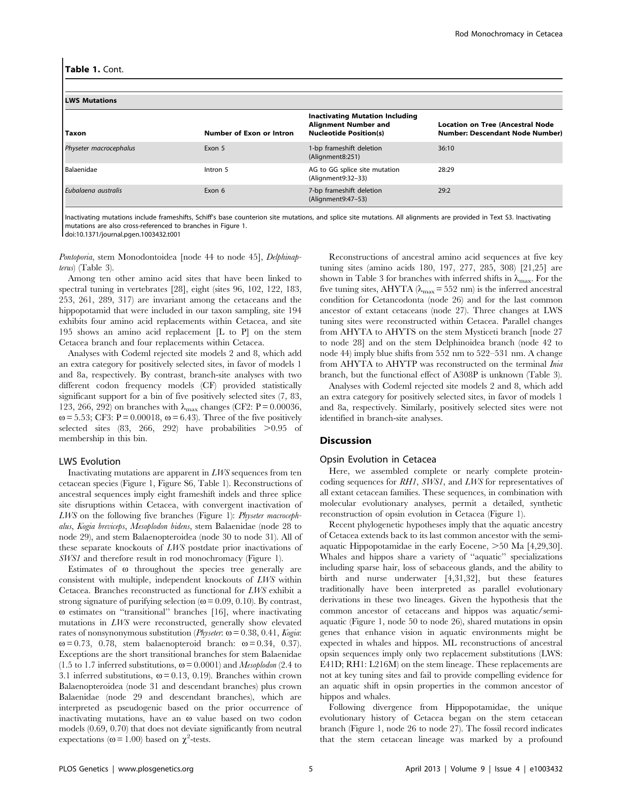| <b>LWS Mutations</b>   |                          |                                                                                                        |                                                                                   |  |  |  |
|------------------------|--------------------------|--------------------------------------------------------------------------------------------------------|-----------------------------------------------------------------------------------|--|--|--|
| Taxon                  | Number of Exon or Intron | <b>Inactivating Mutation Including</b><br><b>Alignment Number and</b><br><b>Nucleotide Position(s)</b> | <b>Location on Tree (Ancestral Node</b><br><b>Number: Descendant Node Number)</b> |  |  |  |
| Physeter macrocephalus | Exon 5                   | 1-bp frameshift deletion<br>(Alignment8:251)                                                           | 36:10                                                                             |  |  |  |
| Balaenidae             | Intron 5                 | AG to GG splice site mutation<br>(Alignment9:32-33)                                                    | 28:29                                                                             |  |  |  |
| Eubalaena australis    | Exon 6                   | 7-bp frameshift deletion<br>(Alignment9:47-53)                                                         | 29:2                                                                              |  |  |  |

Inactivating mutations include frameshifts, Schiff's base counterion site mutations, and splice site mutations. All alignments are provided in Text S3. Inactivating mutations are also cross-referenced to branches in Figure 1.

doi:10.1371/journal.pgen.1003432.t001

Pontoporia, stem Monodontoidea [node 44 to node 45], Delphinapterus) (Table 3).

Among ten other amino acid sites that have been linked to spectral tuning in vertebrates [28], eight (sites 96, 102, 122, 183, 253, 261, 289, 317) are invariant among the cetaceans and the hippopotamid that were included in our taxon sampling, site 194 exhibits four amino acid replacements within Cetacea, and site 195 shows an amino acid replacement [L to P] on the stem Cetacea branch and four replacements within Cetacea.

Analyses with Codeml rejected site models 2 and 8, which add an extra category for positively selected sites, in favor of models 1 and 8a, respectively. By contrast, branch-site analyses with two different codon frequency models (CF) provided statistically significant support for a bin of five positively selected sites (7, 83, 123, 266, 292) on branches with  $\lambda_{\text{max}}$  changes (CF2: P = 0.00036,  $\omega$  = 5.53; CF3: P = 0.00018,  $\omega$  = 6.43). Three of the five positively selected sites  $(83, 266, 292)$  have probabilities  $>0.95$  of membership in this bin.

#### LWS Evolution

Inactivating mutations are apparent in LWS sequences from ten cetacean species (Figure 1, Figure S6, Table 1). Reconstructions of ancestral sequences imply eight frameshift indels and three splice site disruptions within Cetacea, with convergent inactivation of LWS on the following five branches (Figure 1): Physeter macrocephalus, Kogia breviceps, Mesoplodon bidens, stem Balaenidae (node 28 to node 29), and stem Balaenopteroidea (node 30 to node 31). All of these separate knockouts of LWS postdate prior inactivations of SWS1 and therefore result in rod monochromacy (Figure 1).

Estimates of  $\omega$  throughout the species tree generally are consistent with multiple, independent knockouts of LWS within Cetacea. Branches reconstructed as functional for LWS exhibit a strong signature of purifying selection ( $\omega$  = 0.09, 0.10). By contrast,  $\omega$  estimates on "transitional" branches [16], where inactivating mutations in LWS were reconstructed, generally show elevated rates of nonsynonymous substitution (*Physeter*:  $\omega$  = 0.38, 0.41, *Kogia*:  $\omega$  = 0.73, 0.78, stem balaenopteroid branch:  $\omega$  = 0.34, 0.37). Exceptions are the short transitional branches for stem Balaenidae (1.5 to 1.7 inferred substitutions,  $\omega$  = 0.0001) and *Mesoplodon* (2.4 to 3.1 inferred substitutions,  $\omega = 0.13, 0.19$ ). Branches within crown Balaenopteroidea (node 31 and descendant branches) plus crown Balaenidae (node 29 and descendant branches), which are interpreted as pseudogenic based on the prior occurrence of inactivating mutations, have an  $\omega$  value based on two codon models (0.69, 0.70) that does not deviate significantly from neutral expectations ( $\omega$  = 1.00) based on  $\chi^2$ -tests.

Reconstructions of ancestral amino acid sequences at five key tuning sites (amino acids 180, 197, 277, 285, 308) [21,25] are shown in Table 3 for branches with inferred shifts in  $\lambda_{\text{max}}$ . For the five tuning sites, AHYTA ( $\lambda_{\text{max}}$  = 552 nm) is the inferred ancestral condition for Cetancodonta (node 26) and for the last common ancestor of extant cetaceans (node 27). Three changes at LWS tuning sites were reconstructed within Cetacea. Parallel changes from AHYTA to AHYTS on the stem Mysticeti branch [node 27 to node 28] and on the stem Delphinoidea branch (node 42 to node 44) imply blue shifts from 552 nm to 522–531 nm. A change from AHYTA to AHYTP was reconstructed on the terminal *Inia* branch, but the functional effect of A308P is unknown (Table 3).

Analyses with Codeml rejected site models 2 and 8, which add an extra category for positively selected sites, in favor of models 1 and 8a, respectively. Similarly, positively selected sites were not identified in branch-site analyses.

#### Discussion

#### Opsin Evolution in Cetacea

Here, we assembled complete or nearly complete proteincoding sequences for RH1, SWS1, and LWS for representatives of all extant cetacean families. These sequences, in combination with molecular evolutionary analyses, permit a detailed, synthetic reconstruction of opsin evolution in Cetacea (Figure 1).

Recent phylogenetic hypotheses imply that the aquatic ancestry of Cetacea extends back to its last common ancestor with the semiaquatic Hippopotamidae in the early Eocene,  $>50$  Ma [4,29,30]. Whales and hippos share a variety of ''aquatic'' specializations including sparse hair, loss of sebaceous glands, and the ability to birth and nurse underwater [4,31,32], but these features traditionally have been interpreted as parallel evolutionary derivations in these two lineages. Given the hypothesis that the common ancestor of cetaceans and hippos was aquatic/semiaquatic (Figure 1, node 50 to node 26), shared mutations in opsin genes that enhance vision in aquatic environments might be expected in whales and hippos. ML reconstructions of ancestral opsin sequences imply only two replacement substitutions (LWS: E41D; RH1: L216M) on the stem lineage. These replacements are not at key tuning sites and fail to provide compelling evidence for an aquatic shift in opsin properties in the common ancestor of hippos and whales.

Following divergence from Hippopotamidae, the unique evolutionary history of Cetacea began on the stem cetacean branch (Figure 1, node 26 to node 27). The fossil record indicates that the stem cetacean lineage was marked by a profound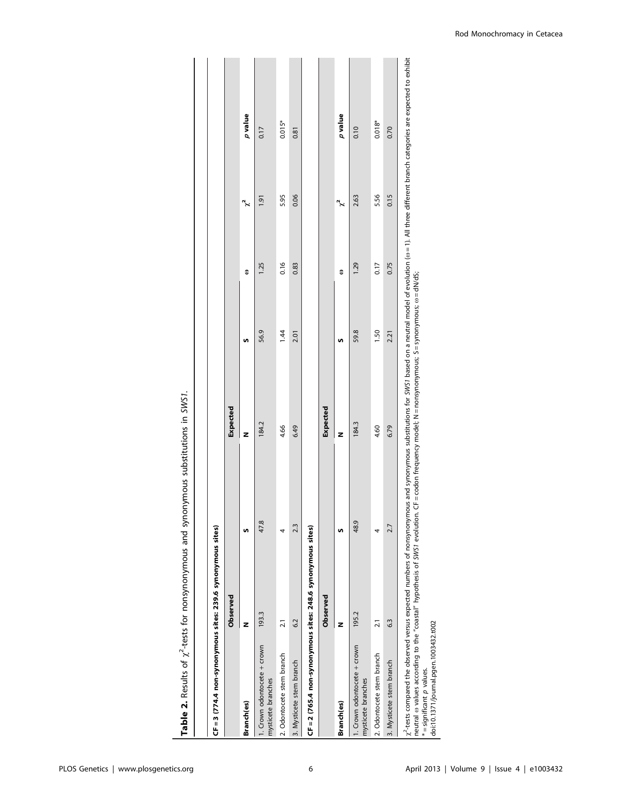| CF = 3 (774.4 non-synonymous sites: 239.6 synonymous sites)                                                                                                                                                                                                                                                                                                                                                           |                 |      |                 |      |      |          |          |
|-----------------------------------------------------------------------------------------------------------------------------------------------------------------------------------------------------------------------------------------------------------------------------------------------------------------------------------------------------------------------------------------------------------------------|-----------------|------|-----------------|------|------|----------|----------|
|                                                                                                                                                                                                                                                                                                                                                                                                                       | Observed        |      | Expected        |      |      |          |          |
| <b>Branch(es)</b>                                                                                                                                                                                                                                                                                                                                                                                                     | z               | n    | z               | n    | з    | $\chi^2$ | p value  |
| 1. Crown odontocete + crown<br>mysticete branches                                                                                                                                                                                                                                                                                                                                                                     | 193.3           | 47.8 | 184.2           | 56.9 | 1.25 | 1.91     | 0.17     |
| 2. Odontocete stem branch                                                                                                                                                                                                                                                                                                                                                                                             | $\overline{21}$ |      | 4.66            | 1.44 | 0.16 | 5.95     | $0.015*$ |
| 3. Mysticete stem branch                                                                                                                                                                                                                                                                                                                                                                                              | 6.2             | 2.3  | 6.49            | 2.01 | 0.83 | 0.06     | 0.81     |
| CF = 2 (765.4 non-synonymous sites: 248.6 synonymous sites)                                                                                                                                                                                                                                                                                                                                                           |                 |      |                 |      |      |          |          |
|                                                                                                                                                                                                                                                                                                                                                                                                                       | Observed        |      | <b>Expected</b> |      |      |          |          |
| Branch(es)                                                                                                                                                                                                                                                                                                                                                                                                            | z               | n    | z               | n    | 3    | $\chi^2$ | p value  |
| 1. Crown odontocete + crown<br>mysticete branches                                                                                                                                                                                                                                                                                                                                                                     | 195.2           | 48.9 | 184.3           | 59.8 | 1.29 | 2.63     | 0.10     |
| 2. Odontocete stem branch                                                                                                                                                                                                                                                                                                                                                                                             | $\overline{21}$ |      | 4.60            | 1.50 | 0.17 | 5.56     | $0.018*$ |
| 3. Mysticete stem branch                                                                                                                                                                                                                                                                                                                                                                                              | 63              | 2.7  | 6.79            | 2.21 | 0.75 | 0.15     | 0.70     |
| $\chi^2$ -tests compared the observed versus expected numbers of nonsynonymous and synonymous substitutions for SWS1 based on a neutral model of evolution ( $\omega$ = 1). All three different branch categories are expected to exh<br>neutral o values according to the "coastal" hypothesis of SWS1 evolution. CF=codon frequency model; N=nonsymonymous; S=synonymous; o=dN/dS;<br>$*$ – $c$ ianificant a values |                 |      |                 |      |      |          |          |

Table 2. Results of  $\chi^2$ -tests for nonsynonymous and synonymous substitutions in SWS1. Table 2. Results of  $\chi^2$ -tests for nonsynonymous and synonymous substitutions in SWS1.

\*=significant p values.<br>| doi:10.1371/journal.pgen.1003432.t002 doi:10.1371/journal.pgen.1003432.t002 \* = significant p values.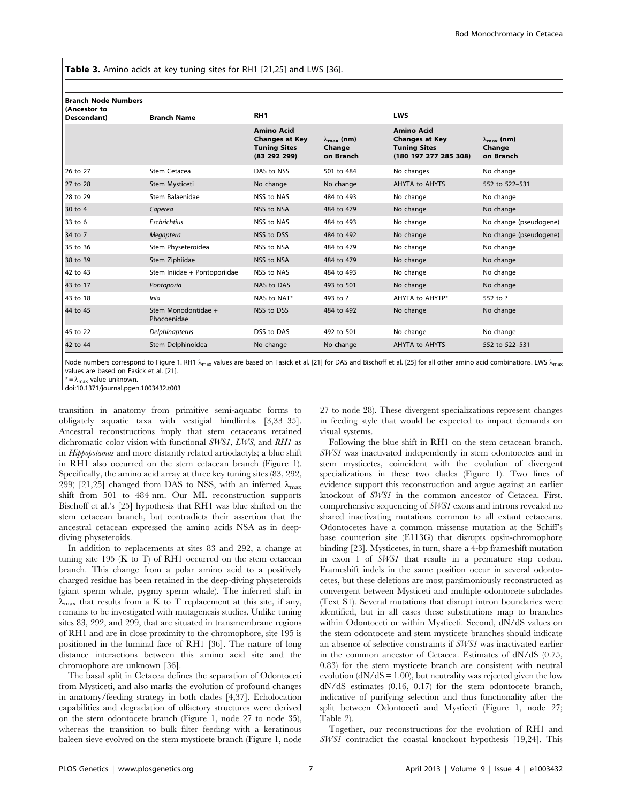Table 3. Amino acids at key tuning sites for RH1 [21,25] and LWS [36].

| <b>Branch Node Numbers</b><br>(Ancestor to<br>Descendant) | <b>Branch Name</b>                 |                                                                                   | RH <sub>1</sub>                                    |                                                                                            | <b>LWS</b>                                         |  |
|-----------------------------------------------------------|------------------------------------|-----------------------------------------------------------------------------------|----------------------------------------------------|--------------------------------------------------------------------------------------------|----------------------------------------------------|--|
|                                                           |                                    | <b>Amino Acid</b><br><b>Changes at Key</b><br><b>Tuning Sites</b><br>(83 292 299) | $\lambda_{\text{max}}$ (nm)<br>Change<br>on Branch | <b>Amino Acid</b><br><b>Changes at Key</b><br><b>Tuning Sites</b><br>(180 197 277 285 308) | $\lambda_{\text{max}}$ (nm)<br>Change<br>on Branch |  |
| 26 to 27                                                  | Stem Cetacea                       | DAS to NSS                                                                        | 501 to 484                                         | No changes                                                                                 | No change                                          |  |
| 27 to 28                                                  | Stem Mysticeti                     | No change                                                                         | No change                                          | AHYTA to AHYTS                                                                             | 552 to 522-531                                     |  |
| 28 to 29                                                  | Stem Balaenidae                    | NSS to NAS                                                                        | 484 to 493                                         | No change                                                                                  | No change                                          |  |
| 30 to 4                                                   | Caperea                            | NSS to NSA                                                                        | 484 to 479                                         | No change                                                                                  | No change                                          |  |
| 33 to 6                                                   | <b>Eschrichtius</b>                | NSS to NAS                                                                        | 484 to 493                                         | No change                                                                                  | No change (pseudogene)                             |  |
| 34 to 7                                                   | Megaptera                          | NSS to DSS                                                                        | 484 to 492                                         | No change                                                                                  | No change (pseudogene)                             |  |
| 35 to 36                                                  | Stem Physeteroidea                 | NSS to NSA                                                                        | 484 to 479                                         | No change                                                                                  | No change                                          |  |
| 38 to 39                                                  | Stem Ziphiidae                     | NSS to NSA                                                                        | 484 to 479                                         | No change                                                                                  | No change                                          |  |
| 42 to 43                                                  | Stem Iniidae + Pontoporiidae       | NSS to NAS                                                                        | 484 to 493                                         | No change                                                                                  | No change                                          |  |
| 43 to 17                                                  | Pontoporia                         | NAS to DAS                                                                        | 493 to 501                                         | No change                                                                                  | No change                                          |  |
| 43 to 18                                                  | <b>Inia</b>                        | NAS to NAT*                                                                       | 493 to ?                                           | AHYTA to AHYTP*                                                                            | 552 to ?                                           |  |
| 44 to 45                                                  | Stem Monodontidae +<br>Phocoenidae | NSS to DSS                                                                        | 484 to 492                                         | No change                                                                                  | No change                                          |  |
| 45 to 22                                                  | Delphinapterus                     | DSS to DAS                                                                        | 492 to 501                                         | No change                                                                                  | No change                                          |  |
| 42 to 44                                                  | Stem Delphinoidea                  | No change                                                                         | No change                                          | AHYTA to AHYTS                                                                             | 552 to 522-531                                     |  |

Node numbers correspond to Figure 1. RH1  $\lambda_{\text{max}}$  values are based on Fasick et al. [21] for DAS and Bischoff et al. [25] for all other amino acid combinations. LWS  $\lambda_{\text{max}}$ values are based on Fasick et al. [21].

 $* = \lambda_{\text{max}}$  value unknown.

doi:10.1371/journal.pgen.1003432.t003

transition in anatomy from primitive semi-aquatic forms to obligately aquatic taxa with vestigial hindlimbs [3,33–35]. Ancestral reconstructions imply that stem cetaceans retained dichromatic color vision with functional SWS1, LWS, and RH1 as in Hippopotamus and more distantly related artiodactyls; a blue shift in RH1 also occurred on the stem cetacean branch (Figure 1). Specifically, the amino acid array at three key tuning sites (83, 292, 299) [21,25] changed from DAS to NSS, with an inferred  $\lambda_{\text{max}}$ shift from 501 to 484 nm. Our ML reconstruction supports Bischoff et al.'s [25] hypothesis that RH1 was blue shifted on the stem cetacean branch, but contradicts their assertion that the ancestral cetacean expressed the amino acids NSA as in deepdiving physeteroids.

In addition to replacements at sites 83 and 292, a change at tuning site 195 (K to T) of RH1 occurred on the stem cetacean branch. This change from a polar amino acid to a positively charged residue has been retained in the deep-diving physeteroids (giant sperm whale, pygmy sperm whale). The inferred shift in  $\lambda_{\text{max}}$  that results from a K to T replacement at this site, if any, remains to be investigated with mutagenesis studies. Unlike tuning sites 83, 292, and 299, that are situated in transmembrane regions of RH1 and are in close proximity to the chromophore, site 195 is positioned in the luminal face of RH1 [36]. The nature of long distance interactions between this amino acid site and the chromophore are unknown [36].

The basal split in Cetacea defines the separation of Odontoceti from Mysticeti, and also marks the evolution of profound changes in anatomy/feeding strategy in both clades [4,37]. Echolocation capabilities and degradation of olfactory structures were derived on the stem odontocete branch (Figure 1, node 27 to node 35), whereas the transition to bulk filter feeding with a keratinous baleen sieve evolved on the stem mysticete branch (Figure 1, node

27 to node 28). These divergent specializations represent changes in feeding style that would be expected to impact demands on visual systems.

Following the blue shift in RH1 on the stem cetacean branch, SWS1 was inactivated independently in stem odontocetes and in stem mysticetes, coincident with the evolution of divergent specializations in these two clades (Figure 1). Two lines of evidence support this reconstruction and argue against an earlier knockout of SWS1 in the common ancestor of Cetacea. First, comprehensive sequencing of SWS1 exons and introns revealed no shared inactivating mutations common to all extant cetaceans. Odontocetes have a common missense mutation at the Schiff's base counterion site (E113G) that disrupts opsin-chromophore binding [23]. Mysticetes, in turn, share a 4-bp frameshift mutation in exon 1 of SWS1 that results in a premature stop codon. Frameshift indels in the same position occur in several odontocetes, but these deletions are most parsimoniously reconstructed as convergent between Mysticeti and multiple odontocete subclades (Text S1). Several mutations that disrupt intron boundaries were identified, but in all cases these substitutions map to branches within Odontoceti or within Mysticeti. Second,  $dN/dS$  values on the stem odontocete and stem mysticete branches should indicate an absence of selective constraints if SWS1 was inactivated earlier in the common ancestor of Cetacea. Estimates of dN/dS (0.75, 0.83) for the stem mysticete branch are consistent with neutral evolution ( $dN/dS = 1.00$ ), but neutrality was rejected given the low dN/dS estimates (0.16, 0.17) for the stem odontocete branch, indicative of purifying selection and thus functionality after the split between Odontoceti and Mysticeti (Figure 1, node 27; Table 2).

Together, our reconstructions for the evolution of RH1 and SWS1 contradict the coastal knockout hypothesis [19,24]. This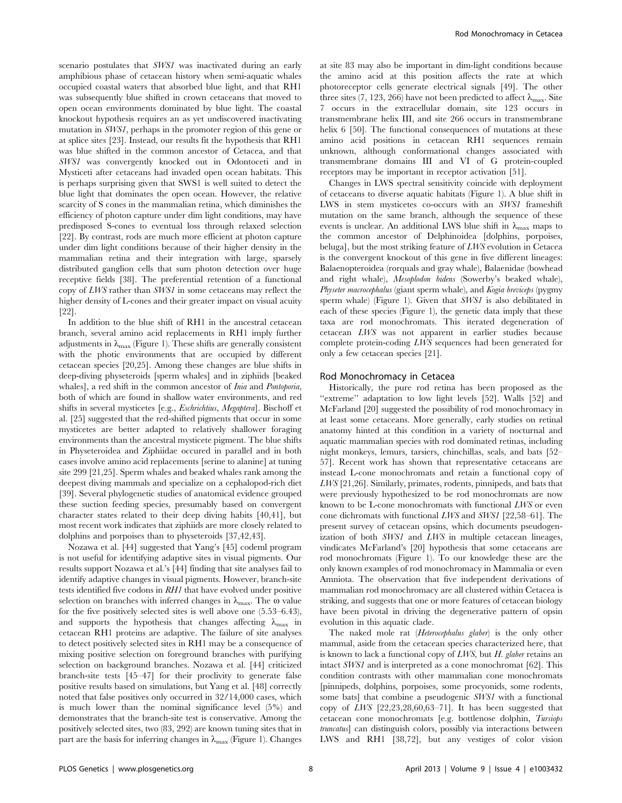scenario postulates that SWS1 was inactivated during an early amphibious phase of cetacean history when semi-aquatic whales occupied coastal waters that absorbed blue light, and that RH1 was subsequently blue shifted in crown cetaceans that moved to open ocean environments dominated by blue light. The coastal knockout hypothesis requires an as yet undiscovered inactivating mutation in SWS1, perhaps in the promoter region of this gene or at splice sites [23]. Instead, our results fit the hypothesis that RH1 was blue shifted in the common ancestor of Cetacea, and that SWS1 was convergently knocked out in Odontoceti and in Mysticeti after cetaceans had invaded open ocean habitats. This is perhaps surprising given that SWS1 is well suited to detect the blue light that dominates the open ocean. However, the relative scarcity of S cones in the mammalian retina, which diminishes the efficiency of photon capture under dim light conditions, may have predisposed S-cones to eventual loss through relaxed selection [22]. By contrast, rods are much more efficient at photon capture under dim light conditions because of their higher density in the mammalian retina and their integration with large, sparsely distributed ganglion cells that sum photon detection over huge receptive fields [38]. The preferential retention of a functional copy of LWS rather than SWS1 in some cetaceans may reflect the higher density of L-cones and their greater impact on visual acuity [22].

In addition to the blue shift of RH1 in the ancestral cetacean branch, several amino acid replacements in RH1 imply further adjustments in  $\lambda_{\text{max}}$  (Figure 1). These shifts are generally consistent with the photic environments that are occupied by different cetacean species [20,25]. Among these changes are blue shifts in deep-diving physeteroids [sperm whales] and in ziphiids [beaked whales], a red shift in the common ancestor of *Inia* and *Pontoporia*, both of which are found in shallow water environments, and red shifts in several mysticetes [e.g., Eschrichtius, Megaptera]. Bischoff et al. [25] suggested that the red-shifted pigments that occur in some mysticetes are better adapted to relatively shallower foraging environments than the ancestral mysticete pigment. The blue shifts in Physeteroidea and Ziphiidae occured in parallel and in both cases involve amino acid replacements [serine to alanine] at tuning site 299 [21,25]. Sperm whales and beaked whales rank among the deepest diving mammals and specialize on a cephalopod-rich diet [39]. Several phylogenetic studies of anatomical evidence grouped these suction feeding species, presumably based on convergent character states related to their deep diving habits [40,41], but most recent work indicates that ziphiids are more closely related to dolphins and porpoises than to physeteroids [37,42,43].

Nozawa et al. [44] suggested that Yang's [45] codeml program is not useful for identifying adaptive sites in visual pigments. Our results support Nozawa et al.'s [44] finding that site analyses fail to identify adaptive changes in visual pigments. However, branch-site tests identified five codons in RH1 that have evolved under positive selection on branches with inferred changes in  $\lambda_{\text{max}}$ . The  $\omega$  value for the five positively selected sites is well above one (5.53–6.43), and supports the hypothesis that changes affecting  $\lambda_{\text{max}}$  in cetacean RH1 proteins are adaptive. The failure of site analyses to detect positively selected sites in RH1 may be a consequence of mixing positive selection on foreground branches with purifying selection on background branches. Nozawa et al. [44] criticized branch-site tests [45–47] for their proclivity to generate false positive results based on simulations, but Yang et al. [48] correctly noted that false positives only occurred in 32/14,000 cases, which is much lower than the nominal significance level (5%) and demonstrates that the branch-site test is conservative. Among the positively selected sites, two (83, 292) are known tuning sites that in part are the basis for inferring changes in  $\lambda_{\text{max}}$  (Figure 1). Changes

at site 83 may also be important in dim-light conditions because the amino acid at this position affects the rate at which photoreceptor cells generate electrical signals [49]. The other three sites (7, 123, 266) have not been predicted to affect  $\lambda_{\text{max}}$ . Site 7 occurs in the extracellular domain, site 123 occurs in transmembrane helix III, and site 266 occurs in transmembrane helix 6 [50]. The functional consequences of mutations at these amino acid positions in cetacean RH1 sequences remain unknown, although conformational changes associated with transmembrane domains III and VI of G protein-coupled receptors may be important in receptor activation [51].

Changes in LWS spectral sensitivity coincide with deployment of cetaceans to diverse aquatic habitats (Figure 1). A blue shift in LWS in stem mysticetes co-occurs with an SWS1 frameshift mutation on the same branch, although the sequence of these events is unclear. An additional LWS blue shift in  $\lambda_{\text{max}}$  maps to the common ancestor of Delphinoidea [dolphins, porpoises, beluga], but the most striking feature of LWS evolution in Cetacea is the convergent knockout of this gene in five different lineages: Balaenopteroidea (rorquals and gray whale), Balaenidae (bowhead and right whale), Mesoplodon bidens (Sowerby's beaked whale), Physeter macrocephalus (giant sperm whale), and Kogia breviceps (pygmy sperm whale) (Figure 1). Given that SWS1 is also debilitated in each of these species (Figure 1), the genetic data imply that these taxa are rod monochromats. This iterated degeneration of cetacean LWS was not apparent in earlier studies because complete protein-coding LWS sequences had been generated for only a few cetacean species [21].

#### Rod Monochromacy in Cetacea

Historically, the pure rod retina has been proposed as the "extreme" adaptation to low light levels [52]. Walls [52] and McFarland [20] suggested the possibility of rod monochromacy in at least some cetaceans. More generally, early studies on retinal anatomy hinted at this condition in a variety of nocturnal and aquatic mammalian species with rod dominated retinas, including night monkeys, lemurs, tarsiers, chinchillas, seals, and bats [52– 57]. Recent work has shown that representative cetaceans are instead L-cone monochromats and retain a functional copy of LWS [21,26]. Similarly, primates, rodents, pinnipeds, and bats that were previously hypothesized to be rod monochromats are now known to be L-cone monochromats with functional LWS or even cone dichromats with functional LWS and SWS1 [22,58–61]. The present survey of cetacean opsins, which documents pseudogenization of both SWS1 and LWS in multiple cetacean lineages, vindicates McFarland's [20] hypothesis that some cetaceans are rod monochromats (Figure 1). To our knowledge these are the only known examples of rod monochromacy in Mammalia or even Amniota. The observation that five independent derivations of mammalian rod monochromacy are all clustered within Cetacea is striking, and suggests that one or more features of cetacean biology have been pivotal in driving the degenerative pattern of opsin evolution in this aquatic clade.

The naked mole rat (*Heterocephalus glaber*) is the only other mammal, aside from the cetacean species characterized here, that is known to lack a functional copy of  $LWS$ , but H. glaber retains an intact SWS1 and is interpreted as a cone monochromat [62]. This condition contrasts with other mammalian cone monochromats [pinnipeds, dolphins, porpoises, some procyonids, some rodents, some bats] that combine a pseudogenic SWS1 with a functional copy of LWS [22,23,28,60,63–71]. It has been suggested that cetacean cone monochromats [e.g. bottlenose dolphin, Tursiops truncatus] can distinguish colors, possibly via interactions between LWS and RH1 [38,72], but any vestiges of color vision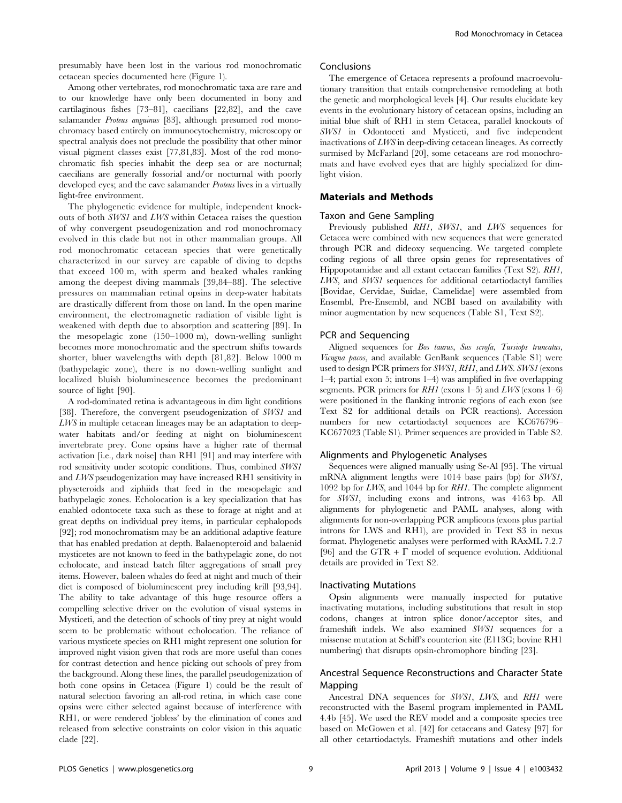presumably have been lost in the various rod monochromatic cetacean species documented here (Figure 1).

### Among other vertebrates, rod monochromatic taxa are rare and to our knowledge have only been documented in bony and cartilaginous fishes [73–81], caecilians [22,82], and the cave salamander Proteus anguinus [83], although presumed rod monochromacy based entirely on immunocytochemistry, microscopy or spectral analysis does not preclude the possibility that other minor visual pigment classes exist [77,81,83]. Most of the rod monochromatic fish species inhabit the deep sea or are nocturnal; caecilians are generally fossorial and/or nocturnal with poorly developed eyes; and the cave salamander *Proteus* lives in a virtually light-free environment.

The phylogenetic evidence for multiple, independent knockouts of both SWS1 and LWS within Cetacea raises the question of why convergent pseudogenization and rod monochromacy evolved in this clade but not in other mammalian groups. All rod monochromatic cetacean species that were genetically characterized in our survey are capable of diving to depths that exceed 100 m, with sperm and beaked whales ranking among the deepest diving mammals [39,84–88]. The selective pressures on mammalian retinal opsins in deep-water habitats are drastically different from those on land. In the open marine environment, the electromagnetic radiation of visible light is weakened with depth due to absorption and scattering [89]. In the mesopelagic zone (150–1000 m), down-welling sunlight becomes more monochromatic and the spectrum shifts towards shorter, bluer wavelengths with depth [81,82]. Below 1000 m (bathypelagic zone), there is no down-welling sunlight and localized bluish bioluminescence becomes the predominant source of light [90].

A rod-dominated retina is advantageous in dim light conditions [38]. Therefore, the convergent pseudogenization of SWS1 and LWS in multiple cetacean lineages may be an adaptation to deepwater habitats and/or feeding at night on bioluminescent invertebrate prey. Cone opsins have a higher rate of thermal activation [i.e., dark noise] than RH1 [91] and may interfere with rod sensitivity under scotopic conditions. Thus, combined SWS1 and LWS pseudogenization may have increased RH1 sensitivity in physeteroids and ziphiids that feed in the mesopelagic and bathypelagic zones. Echolocation is a key specialization that has enabled odontocete taxa such as these to forage at night and at great depths on individual prey items, in particular cephalopods [92]; rod monochromatism may be an additional adaptive feature that has enabled predation at depth. Balaenopteroid and balaenid mysticetes are not known to feed in the bathypelagic zone, do not echolocate, and instead batch filter aggregations of small prey items. However, baleen whales do feed at night and much of their diet is composed of bioluminescent prey including krill [93,94]. The ability to take advantage of this huge resource offers a compelling selective driver on the evolution of visual systems in Mysticeti, and the detection of schools of tiny prey at night would seem to be problematic without echolocation. The reliance of various mysticete species on RH1 might represent one solution for improved night vision given that rods are more useful than cones for contrast detection and hence picking out schools of prey from the background. Along these lines, the parallel pseudogenization of both cone opsins in Cetacea (Figure 1) could be the result of natural selection favoring an all-rod retina, in which case cone opsins were either selected against because of interference with RH1, or were rendered 'jobless' by the elimination of cones and released from selective constraints on color vision in this aquatic clade [22].

#### Conclusions

The emergence of Cetacea represents a profound macroevolutionary transition that entails comprehensive remodeling at both the genetic and morphological levels [4]. Our results elucidate key events in the evolutionary history of cetacean opsins, including an initial blue shift of RH1 in stem Cetacea, parallel knockouts of SWS1 in Odontoceti and Mysticeti, and five independent inactivations of LWS in deep-diving cetacean lineages. As correctly surmised by McFarland [20], some cetaceans are rod monochromats and have evolved eyes that are highly specialized for dimlight vision.

#### Materials and Methods

#### Taxon and Gene Sampling

Previously published RH1, SWS1, and LWS sequences for Cetacea were combined with new sequences that were generated through PCR and dideoxy sequencing. We targeted complete coding regions of all three opsin genes for representatives of Hippopotamidae and all extant cetacean families (Text S2). RH1, LWS, and SWS1 sequences for additional cetartiodactyl families [Bovidae, Cervidae, Suidae, Camelidae] were assembled from Ensembl, Pre-Ensembl, and NCBI based on availability with minor augmentation by new sequences (Table S1, Text S2).

#### PCR and Sequencing

Aligned sequences for Bos taurus, Sus scrofa, Tursiops truncatus, Vicugna pacos, and available GenBank sequences (Table S1) were used to design PCR primers for SWS1, RH1, and LWS. SWS1 (exons 1–4; partial exon 5; introns 1–4) was amplified in five overlapping segments. PCR primers for  $RHI$  (exons 1–5) and LWS (exons 1–6) were positioned in the flanking intronic regions of each exon (see Text S2 for additional details on PCR reactions). Accession numbers for new cetartiodactyl sequences are KC676796– KC677023 (Table S1). Primer sequences are provided in Table S2.

#### Alignments and Phylogenetic Analyses

Sequences were aligned manually using Se-Al [95]. The virtual mRNA alignment lengths were 1014 base pairs (bp) for SWS1, 1092 bp for LWS, and 1044 bp for RH1. The complete alignment for SWS1, including exons and introns, was 4163 bp. All alignments for phylogenetic and PAML analyses, along with alignments for non-overlapping PCR amplicons (exons plus partial introns for LWS and RH1), are provided in Text S3 in nexus format. Phylogenetic analyses were performed with RAxML 7.2.7 [96] and the GTR +  $\Gamma$  model of sequence evolution. Additional details are provided in Text S2.

#### Inactivating Mutations

Opsin alignments were manually inspected for putative inactivating mutations, including substitutions that result in stop codons, changes at intron splice donor/acceptor sites, and frameshift indels. We also examined SWS1 sequences for a missense mutation at Schiff's counterion site (E113G; bovine RH1 numbering) that disrupts opsin-chromophore binding [23].

#### Ancestral Sequence Reconstructions and Character State Mapping

Ancestral DNA sequences for SWS1, LWS, and RH1 were reconstructed with the Baseml program implemented in PAML 4.4b [45]. We used the REV model and a composite species tree based on McGowen et al. [42] for cetaceans and Gatesy [97] for all other cetartiodactyls. Frameshift mutations and other indels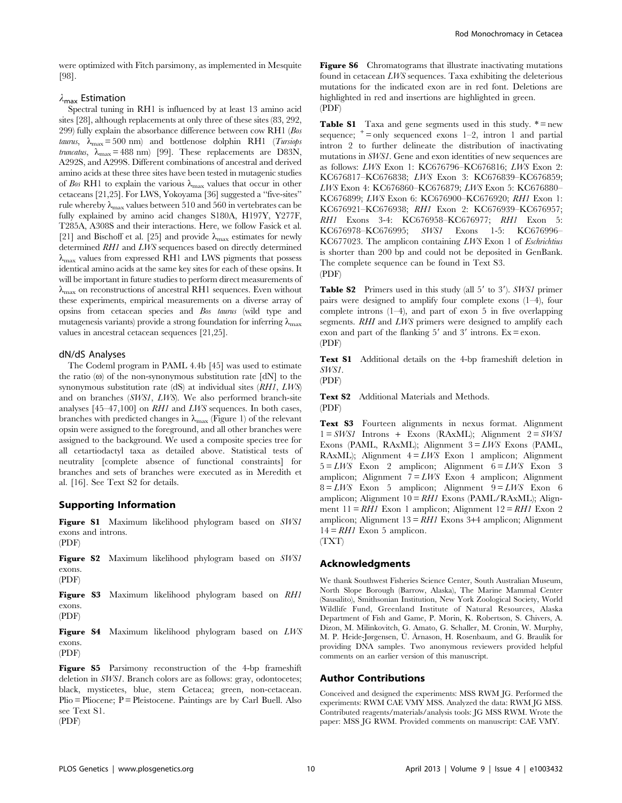were optimized with Fitch parsimony, as implemented in Mesquite [98].

#### $\lambda_{\text{max}}$  Estimation

Spectral tuning in RH1 is influenced by at least 13 amino acid sites [28], although replacements at only three of these sites (83, 292, 299) fully explain the absorbance difference between cow RH1 (Bos taurus,  $\lambda_{\text{max}} = 500 \text{ nm}$  and bottlenose dolphin RH1 (Tursiops truncatus,  $\lambda_{\text{max}}$  = 488 nm) [99]. These replacements are D83N, A292S, and A299S. Different combinations of ancestral and derived amino acids at these three sites have been tested in mutagenic studies of Bos RH1 to explain the various  $\lambda_{\text{max}}$  values that occur in other cetaceans [21,25]. For LWS, Yokoyama [36] suggested a ''five-sites'' rule whereby  $\lambda_{\text{max}}$  values between 510 and 560 in vertebrates can be fully explained by amino acid changes S180A, H197Y, Y277F, T285A, A308S and their interactions. Here, we follow Fasick et al. [21] and Bischoff et al. [25] and provide  $\lambda_{\text{max}}$  estimates for newly determined RH1 and LWS sequences based on directly determined  $\lambda_{\text{max}}$  values from expressed RH1 and LWS pigments that possess identical amino acids at the same key sites for each of these opsins. It will be important in future studies to perform direct measurements of  $\lambda_{\text{max}}$  on reconstructions of ancestral RH1 sequences. Even without these experiments, empirical measurements on a diverse array of opsins from cetacean species and Bos taurus (wild type and mutagenesis variants) provide a strong foundation for inferring  $\lambda_{\text{max}}$ values in ancestral cetacean sequences [21,25].

#### dN/dS Analyses

The Codeml program in PAML 4.4b [45] was used to estimate the ratio  $\omega$  of the non-synonymous substitution rate  $[dN]$  to the synonymous substitution rate (dS) at individual sites (RH1, LWS) and on branches (SWS1, LWS). We also performed branch-site analyses [45–47,100] on RH1 and LWS sequences. In both cases, branches with predicted changes in  $\lambda_{\text{max}}$  (Figure 1) of the relevant opsin were assigned to the foreground, and all other branches were assigned to the background. We used a composite species tree for all cetartiodactyl taxa as detailed above. Statistical tests of neutrality [complete absence of functional constraints] for branches and sets of branches were executed as in Meredith et al. [16]. See Text S2 for details.

#### Supporting Information

Figure S1 Maximum likelihood phylogram based on SWS1 exons and introns. (PDF)

Figure S2 Maximum likelihood phylogram based on SWS1 exons.

(PDF)

Figure S3 Maximum likelihood phylogram based on RH1 exons. (PDF)

Figure S4 Maximum likelihood phylogram based on LWS exons. (PDF)

Figure S5 Parsimony reconstruction of the 4-bp frameshift deletion in SWS1. Branch colors are as follows: gray, odontocetes; black, mysticetes, blue, stem Cetacea; green, non-cetacean.  $Plio = Pliocene$ ;  $P = Pleistocene$ . Paintings are by Carl Buell. Also see Text S1. (PDF)

Figure S6 Chromatograms that illustrate inactivating mutations found in cetacean LWS sequences. Taxa exhibiting the deleterious mutations for the indicated exon are in red font. Deletions are highlighted in red and insertions are highlighted in green. (PDF)

**Table S1** Taxa and gene segments used in this study.  $* = new$ sequence;  $\pm$  = only sequenced exons 1–2, intron 1 and partial intron 2 to further delineate the distribution of inactivating mutations in SWS1. Gene and exon identities of new sequences are as follows: LWS Exon 1: KC676796–KC676816; LWS Exon 2: KC676817–KC676838; LWS Exon 3: KC676839–KC676859; LWS Exon 4: KC676860–KC676879; LWS Exon 5: KC676880– KC676899; LWS Exon 6: KC676900–KC676920; RH1 Exon 1: KC676921–KC676938; RH1 Exon 2: KC676939–KC676957; RH1 Exons 3-4: KC676958-KC676977; RH1 Exon 5:<br>KC676978-KC676995; SWS1 Exons 1-5: KC676996-KC676978–KC676995; SWS1 Exons 1-5: KC676996– KC677023. The amplicon containing LWS Exon 1 of Eschrichtius is shorter than 200 bp and could not be deposited in GenBank. The complete sequence can be found in Text S3.

(PDF)

**Table S2** Primers used in this study (all  $5'$  to  $3'$ ). SWS1 primer pairs were designed to amplify four complete exons (1–4), four complete introns  $(1-4)$ , and part of exon 5 in five overlapping segments. RHI and LWS primers were designed to amplify each exon and part of the flanking  $5'$  and  $3'$  introns. Ex = exon. (PDF)

Text S1 Additional details on the 4-bp frameshift deletion in SWS1.

(PDF)

Text S2 Additional Materials and Methods.

(PDF)

Text S3 Fourteen alignments in nexus format. Alignment  $1 = SWSI$  Introns + Exons (RAxML); Alignment  $2 = SWSI$ Exons (PAML, RAxML); Alignment  $3 = LWS$  Exons (PAML, RAxML); Alignment  $4 = LWS$  Exon 1 amplicon; Alignment  $5 = LWS$  Exon 2 amplicon; Alignment  $6 = LWS$  Exon 3 amplicon; Alignment  $7 = LWS$  Exon 4 amplicon; Alignment  $8 = LWS$  Exon 5 amplicon; Alignment  $9 = LWS$  Exon 6 amplicon; Alignment  $10 = RHI$  Exons (PAML/RAxML); Alignment  $11 = RH1$  Exon 1 amplicon; Alignment  $12 = RH1$  Exon 2 amplicon; Alignment  $13 = RH1$  Exons 3+4 amplicon; Alignment  $14 = RH1$  Exon 5 amplicon.

(TXT)

#### Acknowledgments

We thank Southwest Fisheries Science Center, South Australian Museum, North Slope Borough (Barrow, Alaska), The Marine Mammal Center (Sausalito), Smithsonian Institution, New York Zoological Society, World Wildlife Fund, Greenland Institute of Natural Resources, Alaska Department of Fish and Game, P. Morin, K. Robertson, S. Chivers, A. Dizon, M. Milinkovitch, G. Amato, G. Schaller, M. Cronin, W. Murphy, M. P. Heide-Jørgensen, Ú. Árnason, H. Rosenbaum, and G. Braulik for providing DNA samples. Two anonymous reviewers provided helpful comments on an earlier version of this manuscript.

#### Author Contributions

Conceived and designed the experiments: MSS RWM JG. Performed the experiments: RWM CAE VMY MSS. Analyzed the data: RWM JG MSS. Contributed reagents/materials/analysis tools: JG MSS RWM. Wrote the paper: MSS JG RWM. Provided comments on manuscript: CAE VMY.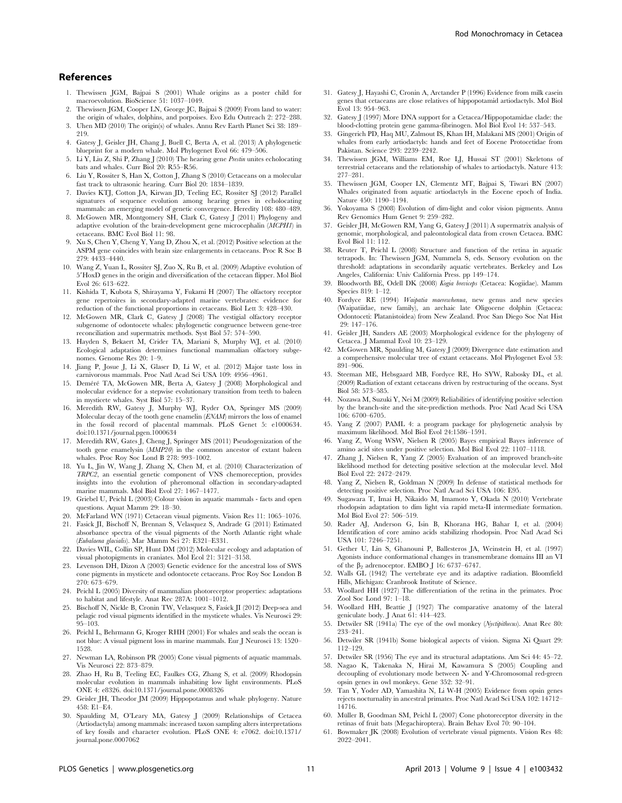#### References

- 1. Thewissen JGM, Bajpai S (2001) Whale origins as a poster child for macroevolution. BioScience 51: 1037–1049.
- 2. Thewissen JGM, Cooper LN, George JC, Bajpai S (2009) From land to water: the origin of whales, dolphins, and porpoises. Evo Edu Outreach 2: 272–288.
- 3. Uhen MD (2010) The origin(s) of whales. Annu Rev Earth Planet Sci 38: 189– 219.
- 4. Gatesy J, Geisler JH, Chang J, Buell C, Berta A, et al. (2013) A phylogenetic blueprint for a modern whale. Mol Phylogenet Evol 66: 479–506.
- 5. Li Y, Liu Z, Shi P, Zhang J (2010) The hearing gene Prestin unites echolocating bats and whales. Curr Biol 20: R55–R56.
- 6. Liu Y, Rossiter S, Han X, Cotton J, Zhang S (2010) Cetaceans on a molecular fast track to ultrasonic hearing. Curr Biol 20: 1834–1839.
- 7. Davies KTJ, Cotton JA, Kirwan JD, Teeling EC, Rossiter SJ (2012) Parallel signatures of sequence evolution among hearing genes in echolocating mammals: an emerging model of genetic convergence. Heredity 108: 480–489.
- 8. McGowen MR, Montgomery SH, Clark C, Gatesy J (2011) Phylogeny and adaptive evolution of the brain-development gene microcephalin (MCPH1) in cetaceans. BMC Evol Biol 11: 98.
- 9. Xu S, Chen Y, Cheng Y, Yang D, Zhou X, et al. (2012) Positive selection at the ASPM gene coincides with brain size enlargements in cetaceans. Proc R Soc B 279: 4433–4440.
- 10. Wang Z, Yuan L, Rossiter SJ, Zuo X, Ru B, et al. (2009) Adaptive evolution of 5'HoxD genes in the origin and diversification of the cetacean flipper. Mol Biol Evol 26: 613–622.
- 11. Kishida T, Kubota S, Shirayama Y, Fukami H (2007) The olfactory receptor gene repertoires in secondary-adapted marine vertebrates: evidence for reduction of the functional proportions in cetaceans. Biol Lett 3: 428–430.
- 12. McGowen MR, Clark C, Gatesy J (2008) The vestigial olfactory receptor subgenome of odontocete whales: phylogenetic congruence between gene-tree reconciliation and supermatrix methods. Syst Biol 57: 574–590.
- 13. Hayden S, Bekaert M, Crider TA, Mariani S, Murphy WJ, et al. (2010) Ecological adaptation determines functional mammalian olfactory subgenomes. Genome Res 20: 1–9.
- 14. Jiang P, Josue J, Li X, Glaser D, Li W, et al. (2012) Major taste loss in carnivorous mammals. Proc Natl Acad Sci USA 109: 4956–4961.
- 15. Deméré TA, McGowen MR, Berta A, Gatesy J (2008) Morphological and molecular evidence for a stepwise evolutionary transition from teeth to baleen in mysticete whales. Syst Biol 57: 15–37.
- 16. Meredith RW, Gatesy J, Murphy WJ, Ryder OA, Springer MS (2009) Molecular decay of the tooth gene enamelin (ENAM) mirrors the loss of enamel in the fossil record of placental mammals. PLoS Genet 5: e1000634. doi:10.1371/journal.pgen.1000634
- 17. Meredith RW, Gates J, Cheng J, Springer MS (2011) Pseudogenization of the tooth gene enamelysin (MMP20) in the common ancestor of extant baleen whales. Proc Roy Soc Lond B 278: 993–1002.
- 18. Yu L, Jin W, Wang J, Zhang X, Chen M, et al. (2010) Characterization of TRPC2, an essential genetic component of VNS chemoreception, provides insights into the evolution of pheromonal olfaction in secondary-adapted marine mammals. Mol Biol Evol 27: 1467–1477.
- 19. Griebel U, Peichl L (2003) Colour vision in aquatic mammals facts and open questions. Aquat Mamm 29: 18–30.
- 20. McFarland WN (1971) Cetacean visual pigments. Vision Res 11: 1065–1076. 21. Fasick JI, Bischoff N, Brennan S, Velasquez S, Andrade G (2011) Estimated absorbance spectra of the visual pigments of the North Atlantic right whale (Eubalaena glacialis). Mar Mamm Sci 27: E321–E331.
- 22. Davies WIL, Collin SP, Hunt DM (2012) Molecular ecology and adaptation of visual photopigments in craniates. Mol Ecol 21: 3121–3158.
- 23. Levenson DH, Dizon A (2003) Genetic evidence for the ancestral loss of SWS cone pigments in mysticete and odontocete cetaceans. Proc Roy Soc London B 270: 673–679.
- 24. Peichl L (2005) Diversity of mammalian photoreceptor properties: adaptations to habitat and lifestyle. Anat Rec 287A: 1001–1012.
- 25. Bischoff N, Nickle B, Cronin TW, Velasquez S, Fasick JI (2012) Deep-sea and pelagic rod visual pigments identified in the mysticete whales. Vis Neurosci 29: 95–103.
- 26. Peichl L, Behrmann G, Kroger RHH (2001) For whales and seals the ocean is not blue: A visual pigment loss in marine mammals. Eur J Neurosci 13: 1520– 1528.
- 27. Newman LA, Robinson PR (2005) Cone visual pigments of aquatic mammals. Vis Neurosci 22: 873–879.
- 28. Zhao H, Ru B, Teeling EC, Faulkes CG, Zhang S, et al. (2009) Rhodopsin molecular evolution in mammals inhabiting low light environments. PLoS ONE 4: e8326. doi:10.1371/journal.pone.0008326
- 29. Geisler JH, Theodor JM (2009) Hippopotamus and whale phylogeny. Nature 458: E1–E4.
- 30. Spaulding M, O'Leary MA, Gatesy J (2009) Relationships of Cetacea (Artiodactyla) among mammals: increased taxon sampling alters interpretations of key fossils and character evolution. PLoS ONE 4: e7062. doi:10.1371/ journal.pone.0007062
- 31. Gatesy J, Hayashi C, Cronin A, Arctander P (1996) Evidence from milk casein genes that cetaceans are close relatives of hippopotamid artiodactyls. Mol Biol Evol 13: 954–963.
- 32. Gatesy J (1997) More DNA support for a Cetacea/Hippopotamidae clade: the blood-clotting protein gene gamma-fibrinogen. Mol Biol Evol 14: 537–543.
- 33. Gingerich PD, Haq MU, Zalmout IS, Khan IH, Malakani MS (2001) Origin of whales from early artiodactyls: hands and feet of Eocene Protocetidae from Pakistan. Science 293: 2239–2242.
- 34. Thewissen JGM, Williams EM, Roe LJ, Hussai ST (2001) Skeletons of terrestrial cetaceans and the relationship of whales to artiodactyls. Nature 413: 277–281.
- 35. Thewissen JGM, Cooper LN, Clementz MT, Bajpai S, Tiwari BN (2007) Whales originated from aquatic artiodactyls in the Eocene epoch of India. Nature 450: 1190–1194.
- 36. Yokoyama S (2008) Evolution of dim-light and color vision pigments. Annu Rev Genomics Hum Genet 9: 259–282.
- 37. Geisler JH, McGowen RM, Yang G, Gatesy J (2011) A supermatrix analysis of genomic, morphological, and paleontological data from crown Cetacea. BMC Evol Biol 11: 112.
- 38. Reuter T, Peichl L (2008) Structure and function of the retina in aquatic tetrapods. In: Thewissen JGM, Nummela S, eds. Sensory evolution on the threshold: adaptations in secondarily aquatic vertebrates. Berkeley and Los Angeles, California: Univ California Press. pp 149–174.
- 39. Bloodworth BE, Odell DK (2008) Kogia breviceps (Cetacea: Kogiidae). Mamm Species 819: 1–12.
- 40. Fordyce RE (1994) Waipatia maerewhenua, new genus and new species (Waipatiidae, new family), an archaic late Oligocene dolphin (Cetacea: Odontoceti: Platanistoidea) from New Zealand. Proc San Diego Soc Nat Hist 29: 147–176.
- 41. Geisler JH, Sanders AE (2003) Morphological evidence for the phylogeny of Cetacea. J Mammal Evol 10: 23–129.
- 42. McGowen MR, Spaulding M, Gatesy J (2009) Divergence date estimation and a comprehensive molecular tree of extant cetaceans. Mol Phylogenet Evol 53: 891–906.
- 43. Steeman ME, Hebsgaard MB, Fordyce RE, Ho SYW, Rabosky DL, et al. (2009) Radiation of extant cetaceans driven by restructuring of the oceans. Syst Biol 58: 573–585.
- 44. Nozawa M, Suzuki Y, Nei M (2009) Reliabilities of identifying positive selection by the branch-site and the site-prediction methods. Proc Natl Acad Sci USA 106: 6700–6705.
- 45. Yang Z (2007) PAML 4: a program package for phylogenetic analysis by maximum likelihood. Mol Biol Evol 24:1586–1591.
- 46. Yang Z, Wong WSW, Nielsen R (2005) Bayes empirical Bayes inference of amino acid sites under positive selection. Mol Biol Evol 22: 1107–1118.
- 47. Zhang J, Nielsen R, Yang Z (2005) Evaluation of an improved branch-site likelihood method for detecting positive selection at the molecular level. Mol Biol Evol 22: 2472–2479.
- 48. Yang Z, Nielsen R, Goldman N (2009) In defense of statistical methods for detecting positive selection. Proc Natl Acad Sci USA 106: E95.
- 49. Sugawara T, Imai H, Nikaido M, Imamoto Y, Okada N (2010) Vertebrate rhodopsin adaptation to dim light via rapid meta-II intermediate formation. Mol Biol Evol 27: 506–519.
- 50. Rader AJ, Anderson G, Isin B, Khorana HG, Bahar I, et al. (2004) Identification of core amino acids stabilizing rhodopsin. Proc Natl Acad Sci USA 101: 7246–7251.
- 51. Gether U, Lin S, Ghanouni P, Ballesteros JA, Weinstein H, et al. (1997) Agonists induce conformational changes in transmembrane domains III an VI of the  $\beta_2$  adrenoceptor. EMBO J 16: 6737–6747.
- 52. Walls GL (1942) The vertebrate eye and its adaptive radiation. Bloomfield Hills, Michigan: Cranbrook Institute of Science.
- 53. Woollard HH (1927) The differentiation of the retina in the primates. Proc Zool Soc Lond 97: 1–18.
- 54. Woollard HH, Beattie J (1927) The comparative anatomy of the lateral geniculate body. J Anat 61: 414–423.
- 55. Detwiler SR (1941a) The eye of the owl monkey (Nyctipithecus). Anat Rec 80: 233–241.
- 56. Detwiler SR (1941b) Some biological aspects of vision. Sigma Xi Quart 29: 112–129.
- 57. Detwiler SR (1956) The eye and its structural adaptations. Am Sci 44: 45–72.
- 58. Nagao K, Takenaka N, Hirai M, Kawamura S (2005) Coupling and decoupling of evolutionary mode between X- and Y-Chromosomal red-green opsin genes in owl monkeys. Gene 352: 32–91.
- 59. Tan Y, Yoder AD, Yamashita N, Li W-H (2005) Evidence from opsin genes rejects nocturnality in ancestral primates. Proc Natl Acad Sci USA 102: 14712– 14716.
- 60. Müller B, Goodman SM, Peichl L (2007) Cone photoreceptor diversity in the retinas of fruit bats (Megachiroptera). Brain Behav Evol 70: 90–104.
- 61. Bowmaker JK (2008) Evolution of vertebrate visual pigments. Vision Res 48: 2022–2041.